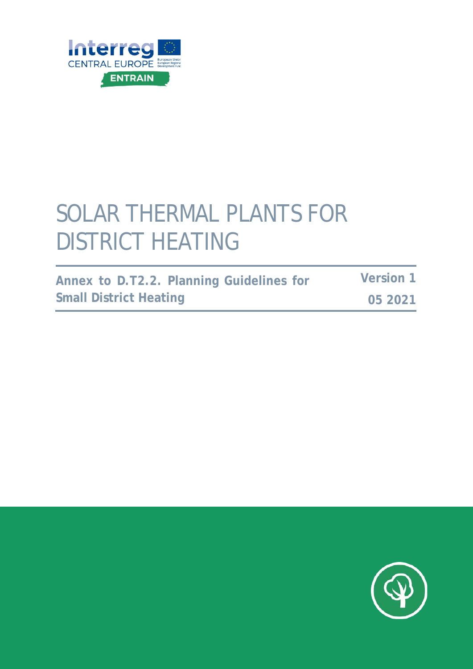

# SOLAR THERMAL PLANTS FOR DISTRICT HEATING

| Annex to D.T2.2. Planning Guidelines for |  | <b>Version 1</b> |
|------------------------------------------|--|------------------|
| <b>Small District Heating</b>            |  | 05 2021          |

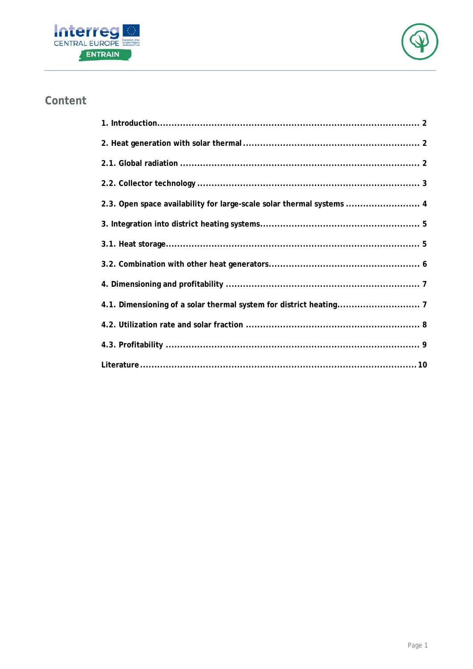



## **Content**

| 2.3. Open space availability for large-scale solar thermal systems  4 |  |
|-----------------------------------------------------------------------|--|
|                                                                       |  |
|                                                                       |  |
|                                                                       |  |
|                                                                       |  |
|                                                                       |  |
|                                                                       |  |
|                                                                       |  |
|                                                                       |  |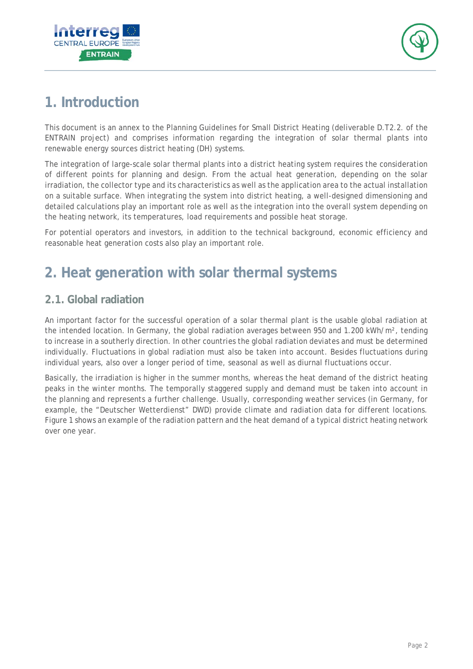



# <span id="page-2-0"></span>**1. Introduction**

This document is an annex to the Planning Guidelines for Small District Heating (deliverable D.T2.2. of the ENTRAIN project) and comprises information regarding the integration of solar thermal plants into renewable energy sources district heating (DH) systems.

The integration of large-scale solar thermal plants into a district heating system requires the consideration of different points for planning and design. From the actual heat generation, depending on the solar irradiation, the collector type and its characteristics as well as the application area to the actual installation on a suitable surface. When integrating the system into district heating, a well-designed dimensioning and detailed calculations play an important role as well as the integration into the overall system depending on the heating network, its temperatures, load requirements and possible heat storage.

For potential operators and investors, in addition to the technical background, economic efficiency and reasonable heat generation costs also play an important role.

# <span id="page-2-1"></span>**2. Heat generation with solar thermal systems**

### <span id="page-2-2"></span>**2.1. Global radiation**

An important factor for the successful operation of a solar thermal plant is the usable global radiation at the intended location. In Germany, the global radiation averages between 950 and 1.200 kWh/m<sup>2</sup>, tending to increase in a southerly direction. In other countries the global radiation deviates and must be determined individually. Fluctuations in global radiation must also be taken into account. Besides fluctuations during individual years, also over a longer period of time, seasonal as well as diurnal fluctuations occur.

Basically, the irradiation is higher in the summer months, whereas the heat demand of the district heating peaks in the winter months. The temporally staggered supply and demand must be taken into account in the planning and represents a further challenge. Usually, corresponding weather services (in Germany, for example, the "Deutscher Wetterdienst" DWD) provide climate and radiation data for different locations. Figure 1 shows an example of the radiation pattern and the heat demand of a typical district heating network over one year.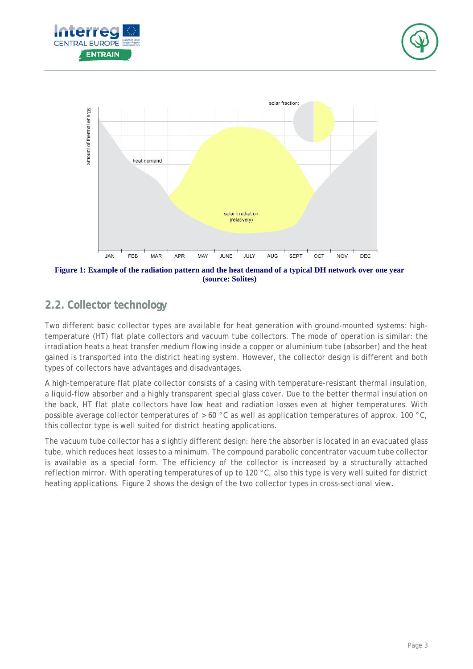





**Figure 1: Example of the radiation pattern and the heat demand of a typical DH network over one year (source: Solites)**

#### <span id="page-3-0"></span>**2.2. Collector technology**

Two different basic collector types are available for heat generation with ground-mounted systems: hightemperature (HT) flat plate collectors and vacuum tube collectors. The mode of operation is similar: the irradiation heats a heat transfer medium flowing inside a copper or aluminium tube (absorber) and the heat gained is transported into the district heating system. However, the collector design is different and both types of collectors have advantages and disadvantages.

A high-temperature flat plate collector consists of a casing with temperature-resistant thermal insulation, a liquid-flow absorber and a highly transparent special glass cover. Due to the better thermal insulation on the back, HT flat plate collectors have low heat and radiation losses even at higher temperatures. With possible average collector temperatures of > 60 °C as well as application temperatures of approx. 100 °C, this collector type is well suited for district heating applications.

The vacuum tube collector has a slightly different design: here the absorber is located in an evacuated glass tube, which reduces heat losses to a minimum. The compound parabolic concentrator vacuum tube collector is available as a special form. The efficiency of the collector is increased by a structurally attached reflection mirror. With operating temperatures of up to 120 °C, also this type is very well suited for district heating applications. Figure 2 shows the design of the two collector types in cross-sectional view.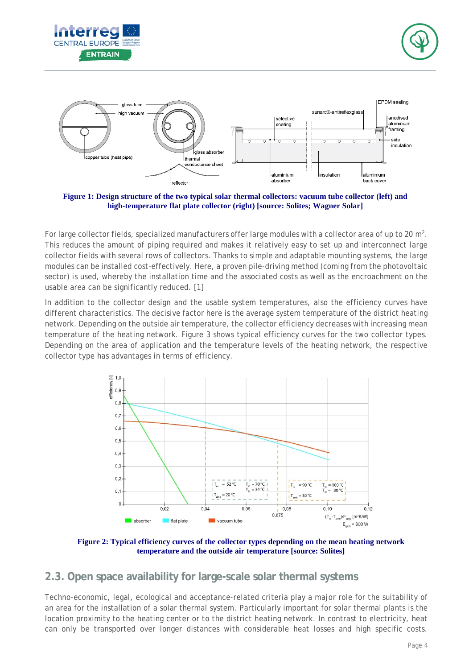





**Figure 1: Design structure of the two typical solar thermal collectors: vacuum tube collector (left) and high-temperature flat plate collector (right) [source: Solites; Wagner Solar]**

For large collector fields, specialized manufacturers offer large modules with a collector area of up to 20 m<sup>2</sup>. This reduces the amount of piping required and makes it relatively easy to set up and interconnect large collector fields with several rows of collectors. Thanks to simple and adaptable mounting systems, the large modules can be installed cost-effectively. Here, a proven pile-driving method (coming from the photovoltaic sector) is used, whereby the installation time and the associated costs as well as the encroachment on the usable area can be significantly reduced. [1]

In addition to the collector design and the usable system temperatures, also the efficiency curves have different characteristics. The decisive factor here is the average system temperature of the district heating network. Depending on the outside air temperature, the collector efficiency decreases with increasing mean temperature of the heating network. Figure 3 shows typical efficiency curves for the two collector types. Depending on the area of application and the temperature levels of the heating network, the respective collector type has advantages in terms of efficiency.



**Figure 2: Typical efficiency curves of the collector types depending on the mean heating network temperature and the outside air temperature [source: Solites]**

#### <span id="page-4-0"></span>**2.3. Open space availability for large-scale solar thermal systems**

Techno-economic, legal, ecological and acceptance-related criteria play a major role for the suitability of an area for the installation of a solar thermal system. Particularly important for solar thermal plants is the location proximity to the heating center or to the district heating network. In contrast to electricity, heat can only be transported over longer distances with considerable heat losses and high specific costs.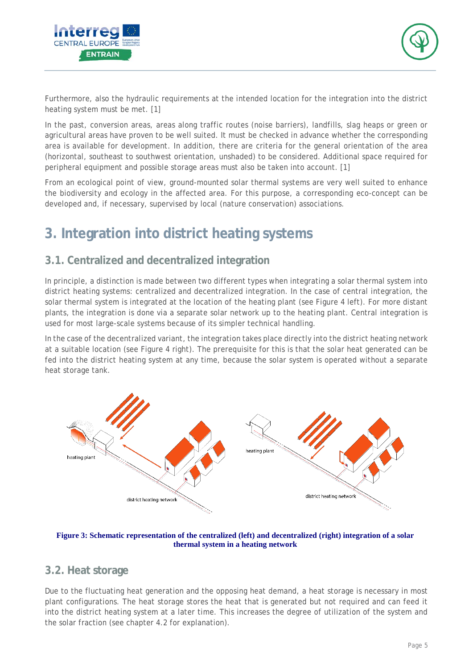



Furthermore, also the hydraulic requirements at the intended location for the integration into the district heating system must be met. [1]

In the past, conversion areas, areas along traffic routes (noise barriers), landfills, slag heaps or green or agricultural areas have proven to be well suited. It must be checked in advance whether the corresponding area is available for development. In addition, there are criteria for the general orientation of the area (horizontal, southeast to southwest orientation, unshaded) to be considered. Additional space required for peripheral equipment and possible storage areas must also be taken into account. [1]

From an ecological point of view, ground-mounted solar thermal systems are very well suited to enhance the biodiversity and ecology in the affected area. For this purpose, a corresponding eco-concept can be developed and, if necessary, supervised by local (nature conservation) associations.

## <span id="page-5-0"></span>**3. Integration into district heating systems**

#### **3.1. Centralized and decentralized integration**

In principle, a distinction is made between two different types when integrating a solar thermal system into district heating systems: centralized and decentralized integration. In the case of central integration, the solar thermal system is integrated at the location of the heating plant (see Figure 4 left). For more distant plants, the integration is done via a separate solar network up to the heating plant. Central integration is used for most large-scale systems because of its simpler technical handling.

In the case of the decentralized variant, the integration takes place directly into the district heating network at a suitable location (see Figure 4 right). The prerequisite for this is that the solar heat generated can be fed into the district heating system at any time, because the solar system is operated without a separate heat storage tank.



**Figure 3: Schematic representation of the centralized (left) and decentralized (right) integration of a solar thermal system in a heating network**

#### <span id="page-5-1"></span>**3.2. Heat storage**

Due to the fluctuating heat generation and the opposing heat demand, a heat storage is necessary in most plant configurations. The heat storage stores the heat that is generated but not required and can feed it into the district heating system at a later time. This increases the degree of utilization of the system and the solar fraction (see chapter [4.2](#page-8-0) for explanation).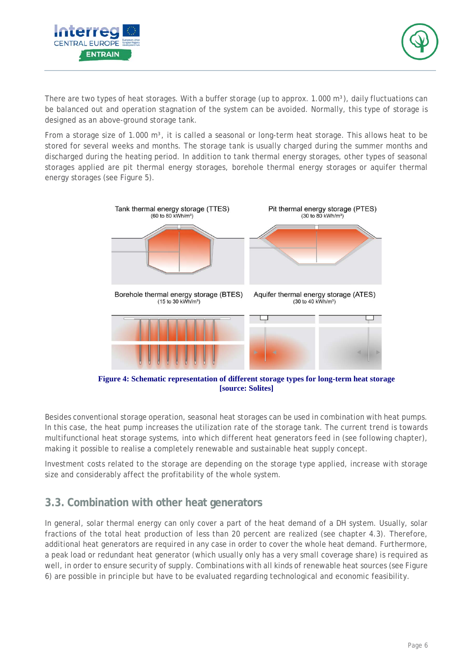



There are two types of heat storages. With a buffer storage (up to approx. 1.000 m<sup>3</sup>), daily fluctuations can be balanced out and operation stagnation of the system can be avoided. Normally, this type of storage is designed as an above-ground storage tank.

From a storage size of 1.000 m<sup>3</sup>, it is called a seasonal or long-term heat storage. This allows heat to be stored for several weeks and months. The storage tank is usually charged during the summer months and discharged during the heating period. In addition to tank thermal energy storages, other types of seasonal storages applied are pit thermal energy storages, borehole thermal energy storages or aquifer thermal energy storages (see Figure 5).



**Figure 4: Schematic representation of different storage types for long-term heat storage [source: Solites]**

Besides conventional storage operation, seasonal heat storages can be used in combination with heat pumps. In this case, the heat pump increases the utilization rate of the storage tank. The current trend is towards multifunctional heat storage systems, into which different heat generators feed in (see following chapter), making it possible to realise a completely renewable and sustainable heat supply concept.

Investment costs related to the storage are depending on the storage type applied, increase with storage size and considerably affect the profitability of the whole system.

#### <span id="page-6-0"></span>**3.3. Combination with other heat generators**

In general, solar thermal energy can only cover a part of the heat demand of a DH system. Usually, solar fractions of the total heat production of less than 20 percent are realized (see chapter [4.3\)](#page-9-0). Therefore, additional heat generators are required in any case in order to cover the whole heat demand. Furthermore, a peak load or redundant heat generator (which usually only has a very small coverage share) is required as well, in order to ensure security of supply. Combinations with all kinds of renewable heat sources (see Figure 6) are possible in principle but have to be evaluated regarding technological and economic feasibility.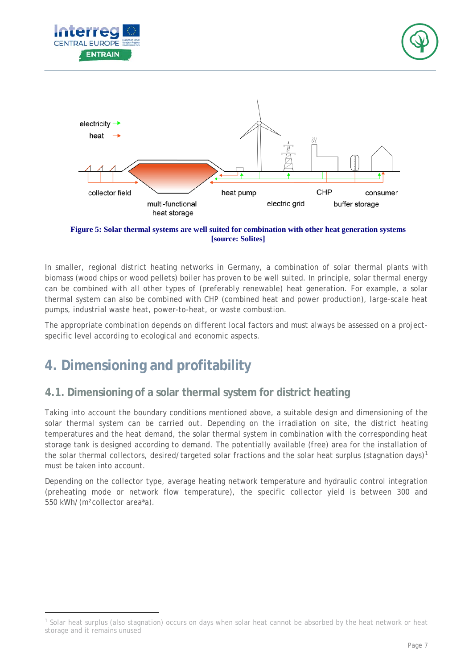





**Figure 5: Solar thermal systems are well suited for combination with other heat generation systems [source: Solites]**

In smaller, regional district heating networks in Germany, a combination of solar thermal plants with biomass (wood chips or wood pellets) boiler has proven to be well suited. In principle, solar thermal energy can be combined with all other types of (preferably renewable) heat generation. For example, a solar thermal system can also be combined with CHP (combined heat and power production), large-scale heat pumps, industrial waste heat, power-to-heat, or waste combustion.

The appropriate combination depends on different local factors and must always be assessed on a projectspecific level according to ecological and economic aspects.

# <span id="page-7-0"></span>**4. Dimensioning and profitability**

-

#### <span id="page-7-1"></span>**4.1. Dimensioning of a solar thermal system for district heating**

Taking into account the boundary conditions mentioned above, a suitable design and dimensioning of the solar thermal system can be carried out. Depending on the irradiation on site, the district heating temperatures and the heat demand, the solar thermal system in combination with the corresponding heat storage tank is designed according to demand. The potentially available (free) area for the installation of the solar thermal collectors, desired/targeted solar fractions and the solar heat surplus (stagnation days)<sup>[1](#page-7-2)</sup> must be taken into account.

Depending on the collector type, average heating network temperature and hydraulic control integration (preheating mode or network flow temperature), the specific collector yield is between 300 and 550 kWh/(m²collector area\*a).

<span id="page-7-2"></span><sup>1</sup> Solar heat surplus (also stagnation) occurs on days when solar heat cannot be absorbed by the heat network or heat storage and it remains unused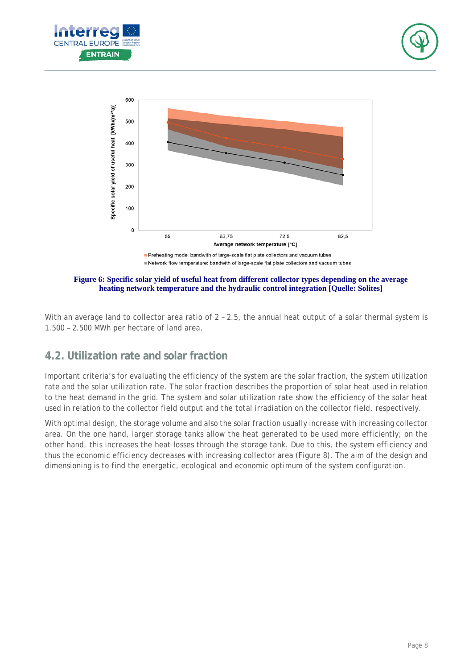





**Figure 6: Specific solar yield of useful heat from different collector types depending on the average heating network temperature and the hydraulic control integration [Quelle: Solites]**

With an average land to collector area ratio of 2 - 2.5, the annual heat output of a solar thermal system is 1.500 – 2.500 MWh per hectare of land area.

#### <span id="page-8-0"></span>**4.2. Utilization rate and solar fraction**

Important criteria's for evaluating the efficiency of the system are the solar fraction, the system utilization rate and the solar utilization rate. The solar fraction describes the proportion of solar heat used in relation to the heat demand in the grid. The system and solar utilization rate show the efficiency of the solar heat used in relation to the collector field output and the total irradiation on the collector field, respectively.

With optimal design, the storage volume and also the solar fraction usually increase with increasing collector area. On the one hand, larger storage tanks allow the heat generated to be used more efficiently; on the other hand, this increases the heat losses through the storage tank. Due to this, the system efficiency and thus the economic efficiency decreases with increasing collector area (Figure 8). The aim of the design and dimensioning is to find the energetic, ecological and economic optimum of the system configuration.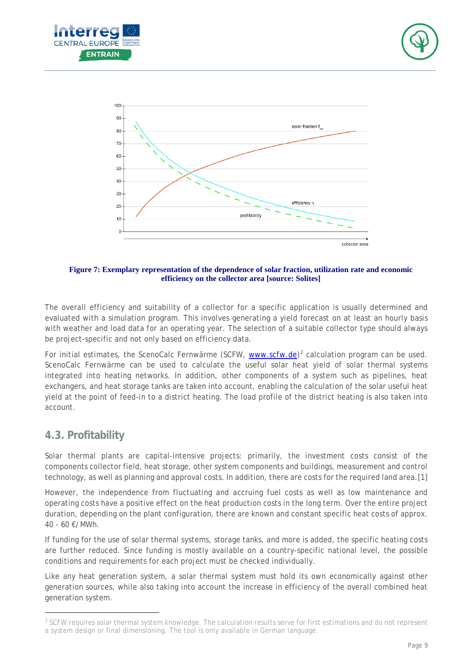



**Figure 7: Exemplary representation of the dependence of solar fraction, utilization rate and economic efficiency on the collector area [source: Solites]**

The overall efficiency and suitability of a collector for a specific application is usually determined and evaluated with a simulation program. This involves generating a yield forecast on at least an hourly basis with weather and load data for an operating year. The selection of a suitable collector type should always be project-specific and not only based on efficiency data.

For initial estimates, the ScenoCalc Fernwärme (SCFW, [www.scfw.de\)](http://www.scfw.de/)<sup>[2](#page-9-1)</sup> calculation program can be used. ScenoCalc Fernwärme can be used to calculate the useful solar heat yield of solar thermal systems integrated into heating networks. In addition, other components of a system such as pipelines, heat exchangers, and heat storage tanks are taken into account, enabling the calculation of the solar useful heat yield at the point of feed-in to a district heating. The load profile of the district heating is also taken into account.

#### <span id="page-9-0"></span>**4.3. Profitability**

-

Solar thermal plants are capital-intensive projects: primarily, the investment costs consist of the components collector field, heat storage, other system components and buildings, measurement and control technology, as well as planning and approval costs. In addition, there are costs for the required land area.[1]

However, the independence from fluctuating and accruing fuel costs as well as low maintenance and operating costs have a positive effect on the heat production costs in the long term. Over the entire project duration, depending on the plant configuration, there are known and constant specific heat costs of approx. 40 - 60 €/MWh.

If funding for the use of solar thermal systems, storage tanks, and more is added, the specific heating costs are further reduced. Since funding is mostly available on a country-specific national level, the possible conditions and requirements for each project must be checked individually.

Like any heat generation system, a solar thermal system must hold its own economically against other generation sources, while also taking into account the increase in efficiency of the overall combined heat generation system.

<span id="page-9-1"></span><sup>&</sup>lt;sup>2</sup> SCFW requires solar thermal system knowledge. The calculation results serve for first estimations and do not represent a system design or final dimensioning. The tool is only available in German language.